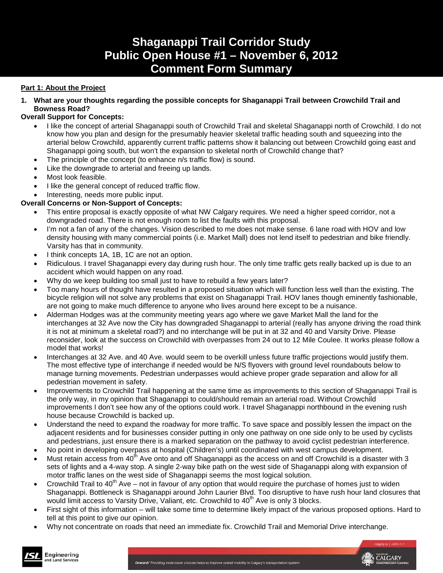# **Shaganappi Trail Corridor Study Public Open House #1 – November 6, 2012 Comment Form Summary**

### **Part 1: About the Project**

**1. What are your thoughts regarding the possible concepts for Shaganappi Trail between Crowchild Trail and Bowness Road?**

### **Overall Support for Concepts:**

- I like the concept of arterial Shaganappi south of Crowchild Trail and skeletal Shaganappi north of Crowchild. I do not know how you plan and design for the presumably heavier skeletal traffic heading south and squeezing into the arterial below Crowchild, apparently current traffic patterns show it balancing out between Crowchild going east and Shaganappi going south, but won't the expansion to skeletal north of Crowchild change that?
- The principle of the concept (to enhance n/s traffic flow) is sound.
- Like the downgrade to arterial and freeing up lands.
- Most look feasible.
- I like the general concept of reduced traffic flow.
- Interesting, needs more public input.

### **Overall Concerns or Non-Support of Concepts:**

- This entire proposal is exactly opposite of what NW Calgary requires. We need a higher speed corridor, not a downgraded road. There is not enough room to list the faults with this proposal.
- I'm not a fan of any of the changes. Vision described to me does not make sense. 6 lane road with HOV and low density housing with many commercial points (i.e. Market Mall) does not lend itself to pedestrian and bike friendly. Varsity has that in community.
- I think concepts 1A, 1B, 1C are not an option.
- Ridiculous. I travel Shaganappi every day during rush hour. The only time traffic gets really backed up is due to an accident which would happen on any road.
- Why do we keep building too small just to have to rebuild a few years later?
- Too many hours of thought have resulted in a proposed situation which will function less well than the existing. The bicycle religion will not solve any problems that exist on Shaganappi Trail. HOV lanes though eminently fashionable, are not going to make much difference to anyone who lives around here except to be a nuisance.
- Alderman Hodges was at the community meeting years ago where we gave Market Mall the land for the interchanges at 32 Ave now the City has downgraded Shaganappi to arterial (really has anyone driving the road think it is not at minimum a skeletal road?) and no interchange will be put in at 32 and 40 and Varsity Drive. Please reconsider, look at the success on Crowchild with overpasses from 24 out to 12 Mile Coulee. It works please follow a model that works!
- Interchanges at 32 Ave. and 40 Ave. would seem to be overkill unless future traffic projections would justify them. The most effective type of interchange if needed would be N/S flyovers with ground level roundabouts below to manage turning movements. Pedestrian underpasses would achieve proper grade separation and allow for all pedestrian movement in safety.
- Improvements to Crowchild Trail happening at the same time as improvements to this section of Shaganappi Trail is the only way, in my opinion that Shaganappi to could/should remain an arterial road. Without Crowchild improvements I don't see how any of the options could work. I travel Shaganappi northbound in the evening rush house because Crowchild is backed up.
- Understand the need to expand the roadway for more traffic. To save space and possibly lessen the impact on the adjacent residents and for businesses consider putting in only one pathway on one side only to be used by cyclists and pedestrians, just ensure there is a marked separation on the pathway to avoid cyclist pedestrian interference.
- No point in developing overpass at hospital (Children's) until coordinated with west campus development.
- Must retain access from  $40^{th}$  Ave onto and off Shaganappi as the access on and off Crowchild is a disaster with 3 sets of lights and a 4-way stop. A single 2-way bike path on the west side of Shaganappi along with expansion of motor traffic lanes on the west side of Shaganappi seems the most logical solution.
- Crowchild Trail to 40<sup>th</sup> Ave not in favour of any option that would require the purchase of homes just to widen Shaganappi. Bottleneck is Shaganappi around John Laurier Blvd. Too disruptive to have rush hour land closures that would limit access to Varsity Drive, Valiant, etc. Crowchild to 40<sup>th</sup> Ave is only 3 blocks.
- First sight of this information will take some time to determine likely impact of the various proposed options. Hard to tell at this point to give our opinion.
- Why not concentrate on roads that need an immediate fix. Crowchild Trail and Memorial Drive interchange.



CALGARY

Onward/ Providing more travel choices helps to improve overall mobility in Calgary's transportation system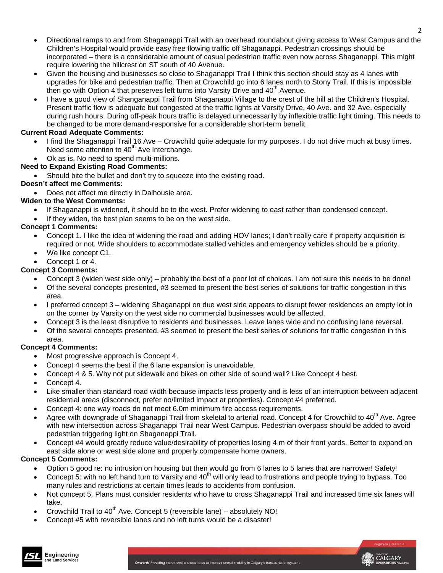- Directional ramps to and from Shaganappi Trail with an overhead roundabout giving access to West Campus and the Children's Hospital would provide easy free flowing traffic off Shaganappi. Pedestrian crossings should be incorporated – there is a considerable amount of casual pedestrian traffic even now across Shaganappi. This might require lowering the hillcrest on ST south of 40 Avenue.
- Given the housing and businesses so close to Shaganappi Trail I think this section should stay as 4 lanes with upgrades for bike and pedestrian traffic. Then at Crowchild go into 6 lanes north to Stony Trail. If this is impossible then go with Option 4 that preserves left turns into Varsity Drive and  $40<sup>th</sup>$  Avenue.
- I have a good view of Shanganappi Trail from Shaganappi Village to the crest of the hill at the Children's Hospital. Present traffic flow is adequate but congested at the traffic lights at Varsity Drive, 40 Ave. and 32 Ave. especially during rush hours. During off-peak hours traffic is delayed unnecessarily by inflexible traffic light timing. This needs to be changed to be more demand-responsive for a considerable short-term benefit.

### **Current Road Adequate Comments:**

- I find the Shaganappi Trail 16 Ave Crowchild quite adequate for my purposes. I do not drive much at busy times. Need some attention to 40<sup>th</sup> Ave Interchange.
- Ok as is. No need to spend multi-millions.

### **Need to Expand Existing Road Comments:**

• Should bite the bullet and don't try to squeeze into the existing road.

### **Doesn't affect me Comments:**

• Does not affect me directly in Dalhousie area.

### **Widen to the West Comments:**

- If Shaganappi is widened, it should be to the west. Prefer widening to east rather than condensed concept.
- If they widen, the best plan seems to be on the west side.

### **Concept 1 Comments:**

- Concept 1. I like the idea of widening the road and adding HOV lanes; I don't really care if property acquisition is required or not. Wide shoulders to accommodate stalled vehicles and emergency vehicles should be a priority.
- We like concept C1.
- Concept 1 or 4.

### **Concept 3 Comments:**

- Concept 3 (widen west side only) probably the best of a poor lot of choices. I am not sure this needs to be done!
- Of the several concepts presented, #3 seemed to present the best series of solutions for traffic congestion in this area.
- I preferred concept 3 widening Shaganappi on due west side appears to disrupt fewer residences an empty lot in on the corner by Varsity on the west side no commercial businesses would be affected.
- Concept 3 is the least disruptive to residents and businesses. Leave lanes wide and no confusing lane reversal.
- Of the several concepts presented, #3 seemed to present the best series of solutions for traffic congestion in this area.

### **Concept 4 Comments:**

- Most progressive approach is Concept 4.
- Concept 4 seems the best if the 6 lane expansion is unavoidable.
- Concept 4 & 5. Why not put sidewalk and bikes on other side of sound wall? Like Concept 4 best.
- Concept 4.
- Like smaller than standard road width because impacts less property and is less of an interruption between adjacent residential areas (disconnect, prefer no/limited impact at properties). Concept #4 preferred.
- Concept 4: one way roads do not meet 6.0m minimum fire access requirements.
- Agree with downgrade of Shaganappi Trail from skeletal to arterial road. Concept 4 for Crowchild to 40<sup>th</sup> Ave. Agree with new intersection across Shaganappi Trail near West Campus. Pedestrian overpass should be added to avoid pedestrian triggering light on Shaganappi Trail.
- Concept #4 would greatly reduce value/desirability of properties losing 4 m of their front yards. Better to expand on east side alone or west side alone and properly compensate home owners.

### **Concept 5 Comments:**

- Option 5 good re: no intrusion on housing but then would go from 6 lanes to 5 lanes that are narrower! Safety!
- Concept 5: with no left hand turn to Varsity and 40<sup>th</sup> will only lead to frustrations and people trying to bypass. Too many rules and restrictions at certain times leads to accidents from confusion.
- Not concept 5. Plans must consider residents who have to cross Shaganappi Trail and increased time six lanes will take.
- Crowchild Trail to  $40^{th}$  Ave. Concept 5 (reversible lane) absolutely NO!
- Concept #5 with reversible lanes and no left turns would be a disaster!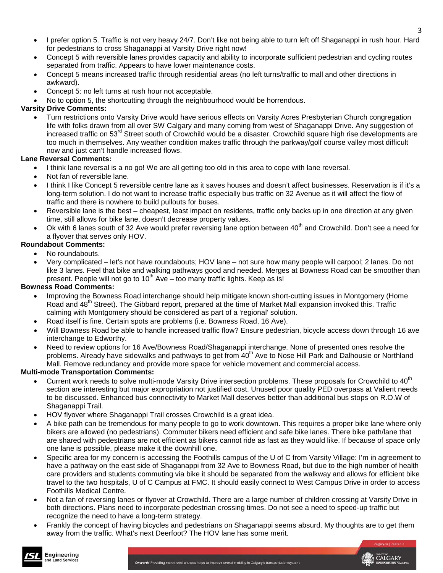- I prefer option 5. Traffic is not very heavy 24/7. Don't like not being able to turn left off Shaganappi in rush hour. Hard for pedestrians to cross Shaganappi at Varsity Drive right now!
- Concept 5 with reversible lanes provides capacity and ability to incorporate sufficient pedestrian and cycling routes separated from traffic. Appears to have lower maintenance costs.
- Concept 5 means increased traffic through residential areas (no left turns/traffic to mall and other directions in awkward).
- Concept 5: no left turns at rush hour not acceptable.
- No to option 5, the shortcutting through the neighbourhood would be horrendous.

### **Varsity Drive Comments:**

• Turn restrictions onto Varsity Drive would have serious effects on Varsity Acres Presbyterian Church congregation life with folks drawn from all over SW Calgary and many coming from west of Shaganappi Drive. Any suggestion of increased traffic on 53<sup>rd</sup> Street south of Crowchild would be a disaster. Crowchild square high rise developments are too much in themselves. Any weather condition makes traffic through the parkway/golf course valley most difficult now and just can't handle increased flows.

### **Lane Reversal Comments:**

- I think lane reversal is a no go! We are all getting too old in this area to cope with lane reversal.
- Not fan of reversible lane.
- I think I like Concept 5 reversible centre lane as it saves houses and doesn't affect businesses. Reservation is if it's a long-term solution. I do not want to increase traffic especially bus traffic on 32 Avenue as it will affect the flow of traffic and there is nowhere to build pullouts for buses.
- Reversible lane is the best cheapest, least impact on residents, traffic only backs up in one direction at any given time, still allows for bike lane, doesn't decrease property values.
- Ok with 6 lanes south of 32 Ave would prefer reversing lane option between  $40<sup>th</sup>$  and Crowchild. Don't see a need for a flyover that serves only HOV.

### **Roundabout Comments:**

- No roundabouts.
- Very complicated let's not have roundabouts; HOV lane not sure how many people will carpool; 2 lanes. Do not like 3 lanes. Feel that bike and walking pathways good and needed. Merges at Bowness Road can be smoother than present. People will not go to  $10^{th}$  Ave – too many traffic lights. Keep as is!

### **Bowness Road Comments:**

Engineering

and Land Services

- Improving the Bowness Road interchange should help mitigate known short-cutting issues in Montgomery (Home Road and 48<sup>th</sup> Street). The Gibbard report, prepared at the time of Market Mall expansion invoked this. Traffic calming with Montgomery should be considered as part of a 'regional' solution.
- Road itself is fine. Certain spots are problems (i.e. Bowness Road, 16 Ave).
- Will Bowness Road be able to handle increased traffic flow? Ensure pedestrian, bicycle access down through 16 ave interchange to Edworthy.
- Need to review options for 16 Ave/Bowness Road/Shaganappi interchange. None of presented ones resolve the problems. Already have sidewalks and pathways to get from 40<sup>th</sup> Ave to Nose Hill Park and Dalhousie or Northland Mall. Remove redundancy and provide more space for vehicle movement and commercial access.

### **Multi-mode Transportation Comments:**

- Current work needs to solve multi-mode Varsity Drive intersection problems. These proposals for Crowchild to 40<sup>th</sup> section are interesting but major expropriation not justified cost. Unused poor quality PED overpass at Valient needs to be discussed. Enhanced bus connectivity to Market Mall deserves better than additional bus stops on R.O.W of Shaganappi Trail.
- HOV flyover where Shaganappi Trail crosses Crowchild is a great idea.
- A bike path can be tremendous for many people to go to work downtown. This requires a proper bike lane where only bikers are allowed (no pedestrians). Commuter bikers need efficient and safe bike lanes. There bike path/lane that are shared with pedestrians are not efficient as bikers cannot ride as fast as they would like. If because of space only one lane is possible, please make it the downhill one.
- Specific area for my concern is accessing the Foothills campus of the U of C from Varsity Village: I'm in agreement to have a pathway on the east side of Shaganappi from 32 Ave to Bowness Road, but due to the high number of health care providers and students commuting via bike it should be separated from the walkway and allows for efficient bike travel to the two hospitals, U of C Campus at FMC. It should easily connect to West Campus Drive in order to access Foothills Medical Centre.
- Not a fan of reversing lanes or flyover at Crowchild. There are a large number of children crossing at Varsity Drive in both directions. Plans need to incorporate pedestrian crossing times. Do not see a need to speed-up traffic but recognize the need to have a long-term strategy.
- Frankly the concept of having bicycles and pedestrians on Shaganappi seems absurd. My thoughts are to get them away from the traffic. What's next Deerfoot? The HOV lane has some merit.



3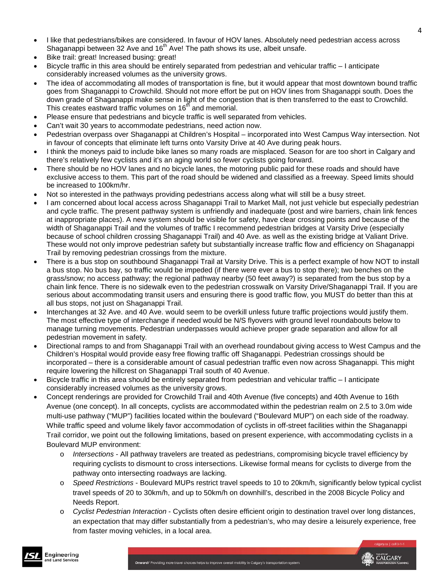- I like that pedestrians/bikes are considered. In favour of HOV lanes. Absolutely need pedestrian access across Shaganappi between 32 Ave and 16<sup>th</sup> Ave! The path shows its use, albeit unsafe.
- Bike trail: great! Increased busing: great!
- Bicycle traffic in this area should be entirely separated from pedestrian and vehicular traffic I anticipate considerably increased volumes as the university grows.
- The idea of accommodating all modes of transportation is fine, but it would appear that most downtown bound traffic goes from Shaganappi to Crowchild. Should not more effort be put on HOV lines from Shaganappi south. Does the down grade of Shaganappi make sense in light of the congestion that is then transferred to the east to Crowchild. This creates eastward traffic volumes on 16<sup>th</sup> and memorial.
- Please ensure that pedestrians and bicycle traffic is well separated from vehicles.
- Can't wait 30 years to accommodate pedestrians, need action now.
- Pedestrian overpass over Shaganappi at Children's Hospital incorporated into West Campus Way intersection. Not in favour of concepts that eliminate left turns onto Varsity Drive at 40 Ave during peak hours.
- I think the moneys paid to include bike lanes so many roads are misplaced. Season for are too short in Calgary and there's relatively few cyclists and it's an aging world so fewer cyclists going forward.
- There should be no HOV lanes and no bicycle lanes, the motoring public paid for these roads and should have exclusive access to them. This part of the road should be widened and classified as a freeway. Speed limits should be increased to 100km/hr.
- Not so interested in the pathways providing pedestrians access along what will still be a busy street.
- I am concerned about local access across Shaganappi Trail to Market Mall, not just vehicle but especially pedestrian and cycle traffic. The present pathway system is unfriendly and inadequate (post and wire barriers, chain link fences at inappropriate places). A new system should be visible for safety, have clear crossing points and because of the width of Shaganappi Trail and the volumes of traffic I recommend pedestrian bridges at Varsity Drive (especially because of school children crossing Shaganappi Trail) and 40 Ave. as well as the existing bridge at Valiant Drive. These would not only improve pedestrian safety but substantially increase traffic flow and efficiency on Shaganappi Trail by removing pedestrian crossings from the mixture.
- There is a bus stop on southbound Shaganappi Trail at Varsity Drive. This is a perfect example of how NOT to install a bus stop. No bus bay, so traffic would be impeded (if there were ever a bus to stop there); two benches on the grass/snow; no access pathway; the regional pathway nearby (50 feet away?) is separated from the bus stop by a chain link fence. There is no sidewalk even to the pedestrian crosswalk on Varsity Drive/Shaganappi Trail. If you are serious about accommodating transit users and ensuring there is good traffic flow, you MUST do better than this at all bus stops, not just on Shaganappi Trail.
- Interchanges at 32 Ave. and 40 Ave. would seem to be overkill unless future traffic projections would justify them. The most effective type of interchange if needed would be N/S flyovers with ground level roundabouts below to manage turning movements. Pedestrian underpasses would achieve proper grade separation and allow for all pedestrian movement in safety.
- Directional ramps to and from Shaganappi Trail with an overhead roundabout giving access to West Campus and the Children's Hospital would provide easy free flowing traffic off Shaganappi. Pedestrian crossings should be incorporated – there is a considerable amount of casual pedestrian traffic even now across Shaganappi. This might require lowering the hillcrest on Shaganappi Trail south of 40 Avenue.
- Bicycle traffic in this area should be entirely separated from pedestrian and vehicular traffic I anticipate considerably increased volumes as the university grows.
- Concept renderings are provided for Crowchild Trail and 40th Avenue (five concepts) and 40th Avenue to 16th Avenue (one concept). In all concepts, cyclists are accommodated within the pedestrian realm on 2.5 to 3.0m wide multi-use pathway ("MUP") facilities located within the boulevard ("Boulevard MUP") on each side of the roadway. While traffic speed and volume likely favor accommodation of cyclists in off-street facilities within the Shaganappi Trail corridor, we point out the following limitations, based on present experience, with accommodating cyclists in a Boulevard MUP environment:
	- o *Intersections*  All pathway travelers are treated as pedestrians, compromising bicycle travel efficiency by requiring cyclists to dismount to cross intersections. Likewise formal means for cyclists to diverge from the pathway onto intersecting roadways are lacking.
	- o *Speed Restrictions*  Boulevard MUPs restrict travel speeds to 10 to 20km/h, significantly below typical cyclist travel speeds of 20 to 30km/h, and up to 50km/h on downhill's, described in the 2008 Bicycle Policy and Needs Report.
	- o *Cyclist Pedestrian Interaction*  Cyclists often desire efficient origin to destination travel over long distances, an expectation that may differ substantially from a pedestrian's, who may desire a leisurely experience, free from faster moving vehicles, in a local area.

 $\Delta$ 

Onward/ Providing more travel choices helps to improve overall mobility in Calgary's transportation system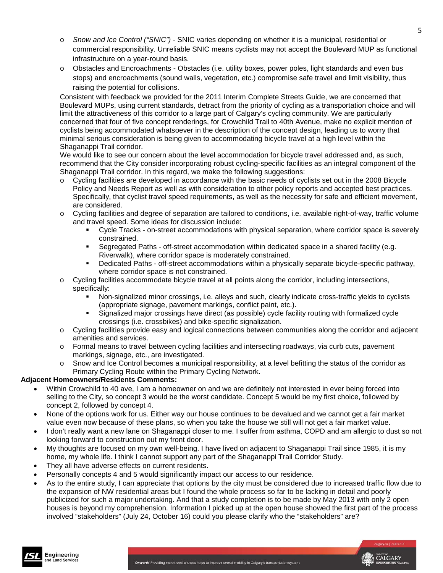- o *Snow and Ice Control ("SNIC")*  SNIC varies depending on whether it is a municipal, residential or commercial responsibility. Unreliable SNIC means cyclists may not accept the Boulevard MUP as functional infrastructure on a year-round basis.
- o Obstacles and Encroachments Obstacles (i.e. utility boxes, power poles, light standards and even bus stops) and encroachments (sound walls, vegetation, etc.) compromise safe travel and limit visibility, thus raising the potential for collisions.

Consistent with feedback we provided for the 2011 Interim Complete Streets Guide, we are concerned that Boulevard MUPs, using current standards, detract from the priority of cycling as a transportation choice and will limit the attractiveness of this corridor to a large part of Calgary's cycling community. We are particularly concerned that four of five concept renderings, for Crowchild Trail to 40th Avenue, make no explicit mention of cyclists being accommodated whatsoever in the description of the concept design, leading us to worry that minimal serious consideration is being given to accommodating bicycle travel at a high level within the Shaganappi Trail corridor.

We would like to see our concern about the level accommodation for bicycle travel addressed and, as such, recommend that the City consider incorporating robust cycling-specific facilities as an integral component of the Shaganappi Trail corridor. In this regard, we make the following suggestions:

- o Cycling facilities are developed in accordance with the basic needs of cyclists set out in the 2008 Bicycle Policy and Needs Report as well as with consideration to other policy reports and accepted best practices. Specifically, that cyclist travel speed requirements, as well as the necessity for safe and efficient movement, are considered.
- o Cycling facilities and degree of separation are tailored to conditions, i.e. available right-of-way, traffic volume and travel speed. Some ideas for discussion include:
	- Cycle Tracks on-street accommodations with physical separation, where corridor space is severely constrained.
	- Segregated Paths off-street accommodation within dedicated space in a shared facility (e.g. Riverwalk), where corridor space is moderately constrained.
	- Dedicated Paths off-street accommodations within a physically separate bicycle-specific pathway, where corridor space is not constrained.
- Cycling facilities accommodate bicycle travel at all points along the corridor, including intersections, specifically:
	- Non-signalized minor crossings, i.e. alleys and such, clearly indicate cross-traffic yields to cyclists (appropriate signage, pavement markings, conflict paint, etc.).
	- Signalized major crossings have direct (as possible) cycle facility routing with formalized cycle crossings (i.e. crossbikes) and bike-specific signalization.
- o Cycling facilities provide easy and logical connections between communities along the corridor and adjacent amenities and services.
- o Formal means to travel between cycling facilities and intersecting roadways, via curb cuts, pavement markings, signage, etc., are investigated.
- o Snow and Ice Control becomes a municipal responsibility, at a level befitting the status of the corridor as Primary Cycling Route within the Primary Cycling Network.

### **Adjacent Homeowners/Residents Comments:**

- Within Crowchild to 40 ave, I am a homeowner on and we are definitely not interested in ever being forced into selling to the City, so concept 3 would be the worst candidate. Concept 5 would be my first choice, followed by concept 2, followed by concept 4.
- None of the options work for us. Either way our house continues to be devalued and we cannot get a fair market value even now because of these plans, so when you take the house we still will not get a fair market value.
- I don't really want a new lane on Shaganappi closer to me. I suffer from asthma, COPD and am allergic to dust so not looking forward to construction out my front door.
- My thoughts are focused on my own well-being. I have lived on adjacent to Shaganappi Trail since 1985, it is my home, my whole life. I think I cannot support any part of the Shaganappi Trail Corridor Study.
- They all have adverse effects on current residents.
- Personally concepts 4 and 5 would significantly impact our access to our residence.
- As to the entire study, I can appreciate that options by the city must be considered due to increased traffic flow due to the expansion of NW residential areas but I found the whole process so far to be lacking in detail and poorly publicized for such a major undertaking. And that a study completion is to be made by May 2013 with only 2 open houses is beyond my comprehension. Information I picked up at the open house showed the first part of the process involved "stakeholders" (July 24, October 16) could you please clarify who the "stakeholders" are?

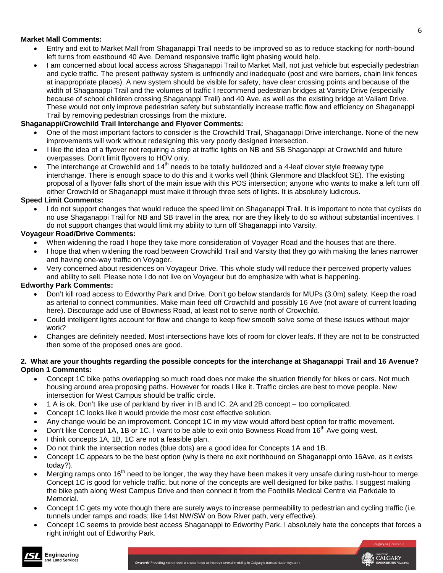#### **Market Mall Comments:**

- Entry and exit to Market Mall from Shaganappi Trail needs to be improved so as to reduce stacking for north-bound left turns from eastbound 40 Ave. Demand responsive traffic light phasing would help.
- I am concerned about local access across Shaganappi Trail to Market Mall, not just vehicle but especially pedestrian and cycle traffic. The present pathway system is unfriendly and inadequate (post and wire barriers, chain link fences at inappropriate places). A new system should be visible for safety, have clear crossing points and because of the width of Shaganappi Trail and the volumes of traffic I recommend pedestrian bridges at Varsity Drive (especially because of school children crossing Shaganappi Trail) and 40 Ave. as well as the existing bridge at Valiant Drive. These would not only improve pedestrian safety but substantially increase traffic flow and efficiency on Shaganappi Trail by removing pedestrian crossings from the mixture.

#### **Shaganappi/Crowchild Trail Interchange and Flyover Comments:**

- One of the most important factors to consider is the Crowchild Trail, Shaganappi Drive interchange. None of the new improvements will work without redesigning this very poorly designed intersection.
- I like the idea of a flyover not requiring a stop at traffic lights on NB and SB Shaganappi at Crowchild and future overpasses. Don't limit flyovers to HOV only.
- The interchange at Crowchild and  $14<sup>th</sup>$  needs to be totally bulldozed and a 4-leaf clover style freeway type interchange. There is enough space to do this and it works well (think Glenmore and Blackfoot SE). The existing proposal of a flyover falls short of the main issue with this POS intersection; anyone who wants to make a left turn off either Crowchild or Shaganappi must make it through three sets of lights. It is absolutely ludicrous.

#### **Speed Limit Comments:**

• I do not support changes that would reduce the speed limit on Shaganappi Trail. It is important to note that cyclists do no use Shaganappi Trail for NB and SB travel in the area, nor are they likely to do so without substantial incentives. I do not support changes that would limit my ability to turn off Shaganappi into Varsity.

#### **Voyageur Road/Drive Comments:**

- When widening the road I hope they take more consideration of Voyager Road and the houses that are there.
- I hope that when widening the road between Crowchild Trail and Varsity that they go with making the lanes narrower and having one-way traffic on Voyager.
- Very concerned about residences on Voyageur Drive. This whole study will reduce their perceived property values and ability to sell. Please note I do not live on Voyageur but do emphasize with what is happening.

#### **Edworthy Park Comments:**

- Don't kill road access to Edworthy Park and Drive. Don't go below standards for MUPs (3.0m) safety. Keep the road as arterial to connect communities. Make main feed off Crowchild and possibly 16 Ave (not aware of current loading here). Discourage add use of Bowness Road, at least not to serve north of Crowchild.
- Could intelligent lights account for flow and change to keep flow smooth solve some of these issues without major work?
- Changes are definitely needed. Most intersections have lots of room for clover leafs. If they are not to be constructed then some of the proposed ones are good.

#### **2. What are your thoughts regarding the possible concepts for the interchange at Shaganappi Trail and 16 Avenue? Option 1 Comments:**

- Concept 1C bike paths overlapping so much road does not make the situation friendly for bikes or cars. Not much housing around area proposing paths. However for roads I like it. Traffic circles are best to move people. New intersection for West Campus should be traffic circle.
- 1 A is ok. Don't like use of parkland by river in IB and IC. 2A and 2B concept too complicated.
- Concept 1C looks like it would provide the most cost effective solution.
- Any change would be an improvement. Concept 1C in my view would afford best option for traffic movement.
- Don't like Concept 1A, 1B or 1C. I want to be able to exit onto Bowness Road from 16<sup>th</sup> Ave going west.
- I think concepts 1A, 1B, 1C are not a feasible plan.
- Do not think the intersection nodes (blue dots) are a good idea for Concepts 1A and 1B.
- Concept 1C appears to be the best option (why is there no exit northbound on Shaganappi onto 16Ave, as it exists today?).
- Merging ramps onto  $16<sup>th</sup>$  need to be longer, the way they have been makes it very unsafe during rush-hour to merge. Concept 1C is good for vehicle traffic, but none of the concepts are well designed for bike paths. I suggest making the bike path along West Campus Drive and then connect it from the Foothills Medical Centre via Parkdale to **Memorial**
- Concept 1C gets my vote though there are surely ways to increase permeability to pedestrian and cycling traffic (i.e. tunnels under ramps and roads; like 14st NW/SW on Bow River path, very effective).
- Concept 1C seems to provide best access Shaganappi to Edworthy Park. I absolutely hate the concepts that forces a right in/right out of Edworthy Park.

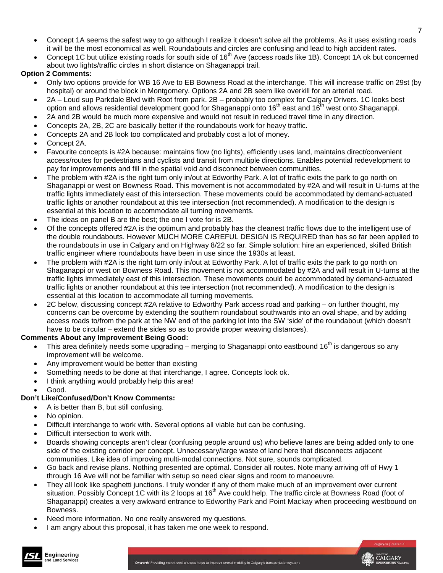- Concept 1A seems the safest way to go although I realize it doesn't solve all the problems. As it uses existing roads it will be the most economical as well. Roundabouts and circles are confusing and lead to high accident rates.
- Concept 1C but utilize existing roads for south side of 16<sup>th</sup> Ave (access roads like 1B). Concept 1A ok but concerned about two lights/traffic circles in short distance on Shaganappi trail.

### **Option 2 Comments:**

- Only two options provide for WB 16 Ave to EB Bowness Road at the interchange. This will increase traffic on 29st (by hospital) or around the block in Montgomery. Options 2A and 2B seem like overkill for an arterial road.
- 2A Loud sup Parkdale Blvd with Root from park. 2B probably too complex for Calgary Drivers. 1C looks best option and allows residential development good for Shaganappi onto 16<sup>th</sup> east and 16<sup>th</sup> west onto Shaganappi.
- 2A and 2B would be much more expensive and would not result in reduced travel time in any direction.
- Concepts 2A, 2B, 2C are basically better if the roundabouts work for heavy traffic.
- Concepts 2A and 2B look too complicated and probably cost a lot of money.
- Concept 2A.
- Favourite concepts is #2A because: maintains flow (no lights), efficiently uses land, maintains direct/convenient access/routes for pedestrians and cyclists and transit from multiple directions. Enables potential redevelopment to pay for improvements and fill in the spatial void and disconnect between communities.
- The problem with #2A is the right turn only in/out at Edworthy Park. A lot of traffic exits the park to go north on Shaganappi or west on Bowness Road. This movement is not accommodated by #2A and will result in U-turns at the traffic lights immediately east of this intersection. These movements could be accommodated by demand-actuated traffic lights or another roundabout at this tee intersection (not recommended). A modification to the design is essential at this location to accommodate all turning movements.
- The ideas on panel B are the best; the one I vote for is 2B.
- Of the concepts offered #2A is the optimum and probably has the cleanest traffic flows due to the intelligent use of the double roundabouts. However MUCH MORE CAREFUL DESIGN IS REQUIRED than has so far been applied to the roundabouts in use in Calgary and on Highway 8/22 so far. Simple solution: hire an experienced, skilled British traffic engineer where roundabouts have been in use since the 1930s at least.
- The problem with #2A is the right turn only in/out at Edworthy Park. A lot of traffic exits the park to go north on Shaganappi or west on Bowness Road. This movement is not accommodated by #2A and will result in U-turns at the traffic lights immediately east of this intersection. These movements could be accommodated by demand-actuated traffic lights or another roundabout at this tee intersection (not recommended). A modification to the design is essential at this location to accommodate all turning movements.
- 2C below, discussing concept #2A relative to Edworthy Park access road and parking on further thought, my concerns can be overcome by extending the southern roundabout southwards into an oval shape, and by adding access roads to/from the park at the NW end of the parking lot into the SW 'side' of the roundabout (which doesn't have to be circular – extend the sides so as to provide proper weaving distances).

### **Comments About any Improvement Being Good:**

- This area definitely needs some upgrading merging to Shaganappi onto eastbound 16<sup>th</sup> is dangerous so any improvement will be welcome.
- Any improvement would be better than existing
- Something needs to be done at that interchange, I agree. Concepts look ok.
- I think anything would probably help this area!
- Good.

## **Don't Like/Confused/Don't Know Comments:**

- A is better than B, but still confusing.
- No opinion.

Engineering

and Land Services

- Difficult interchange to work with. Several options all viable but can be confusing.
- Difficult intersection to work with.
- Boards showing concepts aren't clear (confusing people around us) who believe lanes are being added only to one side of the existing corridor per concept. Unnecessary/large waste of land here that disconnects adjacent communities. Like idea of improving multi-modal connections. Not sure, sounds complicated.
- Go back and revise plans. Nothing presented are optimal. Consider all routes. Note many arriving off of Hwy 1 through 16 Ave will not be familiar with setup so need clear signs and room to manoeuvre.
- They all look like spaghetti junctions. I truly wonder if any of them make much of an improvement over current situation. Possibly Concept 1C with its 2 loops at 16<sup>th</sup> Ave could help. The traffic circle at Bowness Road (foot of Shaganappi) creates a very awkward entrance to Edworthy Park and Point Mackay when proceeding westbound on Bowness.
- Need more information. No one really answered my questions.
- I am angry about this proposal, it has taken me one week to respond.



7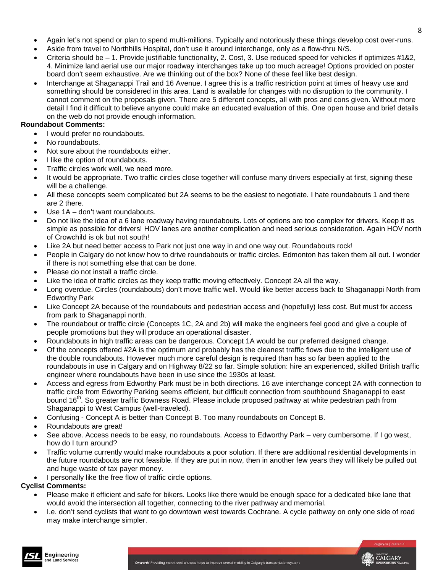CALGARY

- Again let's not spend or plan to spend multi-millions. Typically and notoriously these things develop cost over-runs.
- Aside from travel to Northhills Hospital, don't use it around interchange, only as a flow-thru N/S.
- Criteria should be 1. Provide justifiable functionality, 2. Cost, 3. Use reduced speed for vehicles if optimizes #1&2, 4. Minimize land aerial use our major roadway interchanges take up too much acreage! Options provided on poster board don't seem exhaustive. Are we thinking out of the box? None of these feel like best design.
- Interchange at Shaganappi Trail and 16 Avenue. I agree this is a traffic restriction point at times of heavy use and something should be considered in this area. Land is available for changes with no disruption to the community. I cannot comment on the proposals given. There are 5 different concepts, all with pros and cons given. Without more detail I find it difficult to believe anyone could make an educated evaluation of this. One open house and brief details on the web do not provide enough information.

### **Roundabout Comments:**

- I would prefer no roundabouts.
- No roundabouts.
- Not sure about the roundabouts either.
- I like the option of roundabouts.
- Traffic circles work well, we need more.
- It would be appropriate. Two traffic circles close together will confuse many drivers especially at first, signing these will be a challenge.
- All these concepts seem complicated but 2A seems to be the easiest to negotiate. I hate roundabouts 1 and there are 2 there.
- Use 1A don't want roundabouts.
- Do not like the idea of a 6 lane roadway having roundabouts. Lots of options are too complex for drivers. Keep it as simple as possible for drivers! HOV lanes are another complication and need serious consideration. Again HOV north of Crowchild is ok but not south!
- Like 2A but need better access to Park not just one way in and one way out. Roundabouts rock!
- People in Calgary do not know how to drive roundabouts or traffic circles. Edmonton has taken them all out. I wonder if there is not something else that can be done.
- Please do not install a traffic circle.
- Like the idea of traffic circles as they keep traffic moving effectively. Concept 2A all the way.
- Long overdue. Circles (roundabouts) don't move traffic well. Would like better access back to Shaganappi North from Edworthy Park
- Like Concept 2A because of the roundabouts and pedestrian access and (hopefully) less cost. But must fix access from park to Shaganappi north.
- The roundabout or traffic circle (Concepts 1C, 2A and 2b) will make the engineers feel good and give a couple of people promotions but they will produce an operational disaster.
- Roundabouts in high traffic areas can be dangerous. Concept 1A would be our preferred designed change.
- Of the concepts offered #2A is the optimum and probably has the cleanest traffic flows due to the intelligent use of the double roundabouts. However much more careful design is required than has so far been applied to the roundabouts in use in Calgary and on Highway 8/22 so far. Simple solution: hire an experienced, skilled British traffic engineer where roundabouts have been in use since the 1930s at least.
- Access and egress from Edworthy Park must be in both directions. 16 ave interchange concept 2A with connection to traffic circle from Edworthy Parking seems efficient, but difficult connection from southbound Shaganappi to east bound 16th. So greater traffic Bowness Road. Please include proposed pathway at white pedestrian path from Shaganappi to West Campus (well-traveled).
- Confusing Concept A is better than Concept B. Too many roundabouts on Concept B.
- Roundabouts are great!
- See above. Access needs to be easy, no roundabouts. Access to Edworthy Park very cumbersome. If I go west, how do I turn around?
- Traffic volume currently would make roundabouts a poor solution. If there are additional residential developments in the future roundabouts are not feasible. If they are put in now, then in another few years they will likely be pulled out and huge waste of tax payer money.
- I personally like the free flow of traffic circle options.

### **Cyclist Comments:**

- Please make it efficient and safe for bikers. Looks like there would be enough space for a dedicated bike lane that would avoid the intersection all together, connecting to the river pathway and memorial.
- I.e. don't send cyclists that want to go downtown west towards Cochrane. A cycle pathway on only one side of road may make interchange simpler.

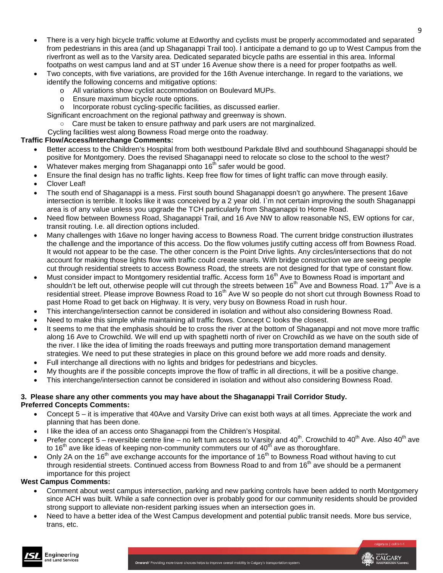- There is a very high bicycle traffic volume at Edworthy and cyclists must be properly accommodated and separated from pedestrians in this area (and up Shaganappi Trail too). I anticipate a demand to go up to West Campus from the riverfront as well as to the Varsity area. Dedicated separated bicycle paths are essential in this area. Informal footpaths on west campus land and at ST under 16 Avenue show there is a need for proper footpaths as well.
- Two concepts, with five variations, are provided for the 16th Avenue interchange. In regard to the variations, we identify the following concerns and mitigative options:
	- o All variations show cyclist accommodation on Boulevard MUPs.<br>
	o Ensure maximum bicycle route options.
	- Ensure maximum bicycle route options.
	- o Incorporate robust cycling-specific facilities, as discussed earlier.
	- Significant encroachment on the regional pathway and greenway is shown.
		- Care must be taken to ensure pathway and park users are not marginalized.
	- Cycling facilities west along Bowness Road merge onto the roadway.

### **Traffic Flow/Access/Interchange Comments:**

- Better access to the Children's Hospital from both westbound Parkdale Blvd and southbound Shaganappi should be positive for Montgomery. Does the revised Shaganappi need to relocate so close to the school to the west?
- Whatever makes merging from Shaganappi onto 16<sup>th</sup> safer would be good.
- Ensure the final design has no traffic lights. Keep free flow for times of light traffic can move through easily.
- Clover Leaf!
- The south end of Shaganappi is a mess. First south bound Shaganappi doesn't go anywhere. The present 16ave intersection is terrible. It looks like it was conceived by a 2 year old. I`m not certain improving the south Shaganappi area is of any value unless you upgrade the TCH particularly from Shaganappi to Home Road.
- Need flow between Bowness Road, Shaganappi Trail, and 16 Ave NW to allow reasonable NS, EW options for car, transit routing. I.e. all direction options included.
- Many challenges with 16ave no longer having access to Bowness Road. The current bridge construction illustrates the challenge and the importance of this access. Do the flow volumes justify cutting access off from Bowness Road. It would not appear to be the case. The other concern is the Point Drive lights. Any circles/intersections that do not account for making those lights flow with traffic could create snarls. With bridge construction we are seeing people cut through residential streets to access Bowness Road, the streets are not designed for that type of constant flow.
- Must consider impact to Montgomery residential traffic. Access form 16<sup>th</sup> Ave to Bowness Road is important and shouldn't be left out, otherwise people will cut through the streets between 16<sup>th</sup> Ave and Bowness Road. 17<sup>th</sup> Ave is a residential street. Please improve Bowness Road to 16<sup>th</sup> Ave W so people do not short cut through Bowness Road to past Home Road to get back on Highway. It is very, very busy on Bowness Road in rush hour.
- This interchange/intersection cannot be considered in isolation and without also considering Bowness Road.
- Need to make this simple while maintaining all traffic flows. Concept C looks the closest.
- It seems to me that the emphasis should be to cross the river at the bottom of Shaganappi and not move more traffic along 16 Ave to Crowchild. We will end up with spaghetti north of river on Crowchild as we have on the south side of the river. I like the idea of limiting the roads freeways and putting more transportation demand management strategies. We need to put these strategies in place on this ground before we add more roads and density.
- Full interchange all directions with no lights and bridges for pedestrians and bicycles.
- My thoughts are if the possible concepts improve the flow of traffic in all directions, it will be a positive change.
- This interchange/intersection cannot be considered in isolation and without also considering Bowness Road.

#### **3. Please share any other comments you may have about the Shaganappi Trail Corridor Study. Preferred Concepts Comments:**

- Concept 5 it is imperative that 40Ave and Varsity Drive can exist both ways at all times. Appreciate the work and planning that has been done.
- I like the idea of an access onto Shaganappi from the Children's Hospital.
- Prefer concept  $5$  reversible centre line no left turn access to Varsity and  $40^{th}$ . Crowchild to  $40^{th}$  Ave. Also  $40^{th}$  ave to 16<sup>th</sup> ave like ideas of keeping non-community commuters our of  $40<sup>th</sup>$  ave as thoroughfare.
- Only 2A on the 16<sup>th</sup> ave exchange accounts for the importance of 16<sup>th</sup> to Bowness Road without having to cut through residential streets. Continued access from Bowness Road to and from 16<sup>th</sup> ave should be a permanent importance for this project

#### **West Campus Comments:**

- Comment about west campus intersection, parking and new parking controls have been added to north Montgomery since ACH was built. While a safe connection over is probably good for our community residents should be provided strong support to alleviate non-resident parking issues when an intersection goes in.
- Need to have a better idea of the West Campus development and potential public transit needs. More bus service, trans, etc.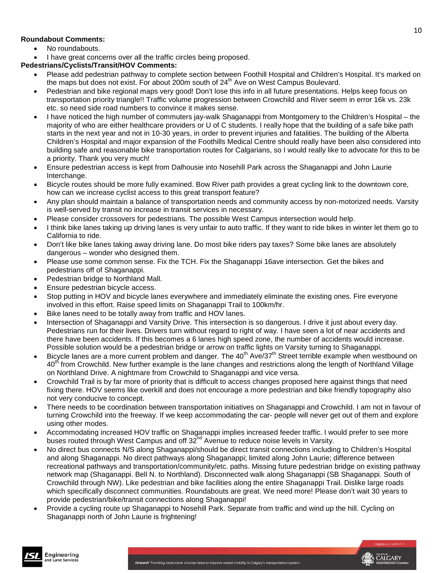### **Roundabout Comments:**

- No roundabouts.
- I have great concerns over all the traffic circles being proposed.

### **Pedestrians/Cyclists/Transit/HOV Comments:**

- Please add pedestrian pathway to complete section between Foothill Hospital and Children's Hospital. It's marked on the maps but does not exist. For about 200m south of  $24<sup>th</sup>$  Ave on West Campus Boulevard.
- Pedestrian and bike regional maps very good! Don't lose this info in all future presentations. Helps keep focus on transportation priority triangle!! Traffic volume progression between Crowchild and River seem in error 16k vs. 23k etc. so need side road numbers to convince it makes sense.
- I have noticed the high number of commuters jay-walk Shaganappi from Montgomery to the Children's Hospital the majority of who are either healthcare providers or U of C students. I really hope that the building of a safe bike path starts in the next year and not in 10-30 years, in order to prevent injuries and fatalities. The building of the Alberta Children's Hospital and major expansion of the Foothills Medical Centre should really have been also considered into building safe and reasonable bike transportation routes for Calgarians, so I would really like to advocate for this to be a priority. Thank you very much!
- Ensure pedestrian access is kept from Dalhousie into Nosehill Park across the Shaganappi and John Laurie Interchange.
- Bicycle routes should be more fully examined. Bow River path provides a great cycling link to the downtown core, how can we increase cyclist access to this great transport feature?
- Any plan should maintain a balance of transportation needs and community access by non-motorized needs. Varsity is well-served by transit no increase in transit services in necessary.
- Please consider crossovers for pedestrians. The possible West Campus intersection would help.
- I think bike lanes taking up driving lanes is very unfair to auto traffic. If they want to ride bikes in winter let them go to California to ride.
- Don't like bike lanes taking away driving lane. Do most bike riders pay taxes? Some bike lanes are absolutely dangerous – wonder who designed them.
- Please use some common sense. Fix the TCH. Fix the Shaganappi 16ave intersection. Get the bikes and pedestrians off of Shaganappi.
- Pedestrian bridge to Northland Mall.
- Ensure pedestrian bicycle access.
- Stop putting in HOV and bicycle lanes everywhere and immediately eliminate the existing ones. Fire everyone involved in this effort. Raise speed limits on Shaganappi Trail to 100km/hr.
- Bike lanes need to be totally away from traffic and HOV lanes.
- Intersection of Shaganappi and Varsity Drive. This intersection is so dangerous. I drive it just about every day. Pedestrians run for their lives. Drivers turn without regard to right of way. I have seen a lot of near accidents and there have been accidents. If this becomes a 6 lanes high speed zone, the number of accidents would increase. Possible solution would be a pedestrian bridge or arrow on traffic lights on Varsity turning to Shaganappi.
- Bicycle lanes are a more current problem and danger. The 40<sup>th</sup> Ave/37<sup>th</sup> Street terrible example when westbound on 40<sup>th</sup> from Crowchild. New further example is the lane changes and restrictions along the length of Northland Village on Northland Drive. A nightmare from Crowchild to Shaganappi and vice versa.
- Crowchild Trail is by far more of priority that is difficult to access changes proposed here against things that need fixing there. HOV seems like overkill and does not encourage a more pedestrian and bike friendly topography also not very conducive to concept.
- There needs to be coordination between transportation initiatives on Shaganappi and Crowchild. I am not in favour of turning Crowchild into the freeway. If we keep accommodating the car- people will never get out of them and explore using other modes.
- Accommodating increased HOV traffic on Shaganappi implies increased feeder traffic. I would prefer to see more buses routed through West Campus and off 32<sup>nd</sup> Avenue to reduce noise levels in Varsity.
- No direct bus connects N/S along Shaganappi/should be direct transit connections including to Children's Hospital and along Shaganappi. No direct pathways along Shaganappi; limited along John Laurie; difference between recreational pathways and transportation/community/etc. paths. Missing future pedestrian bridge on existing pathway network map (Shaganappi. Bell N. to Northland). Disconnected walk along Shaganappi (SB Shaganappi. South of Crowchild through NW). Like pedestrian and bike facilities along the entire Shaganappi Trail. Dislike large roads which specifically disconnect communities. Roundabouts are great. We need more! Please don't wait 30 years to provide pedestrian/bike/transit connections along Shaganappi!
- Provide a cycling route up Shaganappi to Nosehill Park. Separate from traffic and wind up the hill. Cycling on Shaganappi north of John Laurie is frightening!

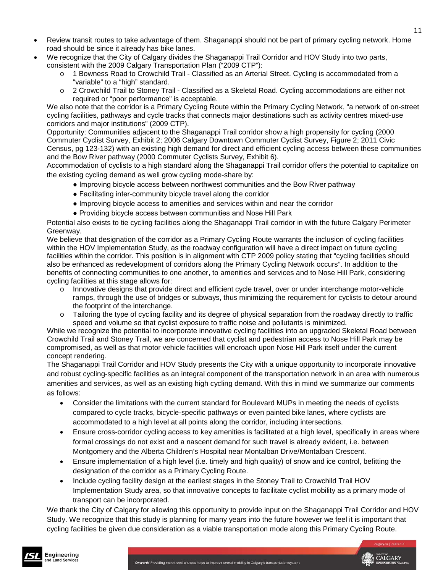- Review transit routes to take advantage of them. Shaganappi should not be part of primary cycling network. Home road should be since it already has bike lanes.
- We recognize that the City of Calgary divides the Shaganappi Trail Corridor and HOV Study into two parts, consistent with the 2009 Calgary Transportation Plan ("2009 CTP"):
	- 1 Bowness Road to Crowchild Trail Classified as an Arterial Street. Cycling is accommodated from a "variable" to a "high" standard.
	- o 2 Crowchild Trail to Stoney Trail Classified as a Skeletal Road. Cycling accommodations are either not required or "poor performance" is acceptable.

We also note that the corridor is a Primary Cycling Route within the Primary Cycling Network, "a network of on-street cycling facilities, pathways and cycle tracks that connects major destinations such as activity centres mixed-use corridors and major institutions" (2009 CTP).

Opportunity: Communities adjacent to the Shaganappi Trail corridor show a high propensity for cycling (2000 Commuter Cyclist Survey, Exhibit 2; 2006 Calgary Downtown Commuter Cyclist Survey, Figure 2; 2011 Civic Census, pg 123-132) with an existing high demand for direct and efficient cycling access between these communities and the Bow River pathway (2000 Commuter Cyclists Survey, Exhibit 6).

Accommodation of cyclists to a high standard along the Shaganappi Trail corridor offers the potential to capitalize on the existing cycling demand as well grow cycling mode-share by:

- Improving bicycle access between northwest communities and the Bow River pathway
- Facilitating inter-community bicycle travel along the corridor
- Improving bicycle access to amenities and services within and near the corridor
- Providing bicycle access between communities and Nose Hill Park

Potential also exists to tie cycling facilities along the Shaganappi Trail corridor in with the future Calgary Perimeter Greenway.

We believe that designation of the corridor as a Primary Cycling Route warrants the inclusion of cycling facilities within the HOV Implementation Study, as the roadway configuration will have a direct impact on future cycling facilities within the corridor. This position is in alignment with CTP 2009 policy stating that "cycling facilities should also be enhanced as redevelopment of corridors along the Primary Cycling Network occurs". In addition to the benefits of connecting communities to one another, to amenities and services and to Nose Hill Park, considering cycling facilities at this stage allows for:

- o Innovative designs that provide direct and efficient cycle travel, over or under interchange motor-vehicle ramps, through the use of bridges or subways, thus minimizing the requirement for cyclists to detour around the footprint of the interchange.
- o Tailoring the type of cycling facility and its degree of physical separation from the roadway directly to traffic speed and volume so that cyclist exposure to traffic noise and pollutants is minimized.

While we recognize the potential to incorporate innovative cycling facilities into an upgraded Skeletal Road between Crowchild Trail and Stoney Trail, we are concerned that cyclist and pedestrian access to Nose Hill Park may be compromised, as well as that motor vehicle facilities will encroach upon Nose Hill Park itself under the current concept rendering.

The Shaganappi Trail Corridor and HOV Study presents the City with a unique opportunity to incorporate innovative and robust cycling-specific facilities as an integral component of the transportation network in an area with numerous amenities and services, as well as an existing high cycling demand. With this in mind we summarize our comments as follows:

- Consider the limitations with the current standard for Boulevard MUPs in meeting the needs of cyclists compared to cycle tracks, bicycle-specific pathways or even painted bike lanes, where cyclists are accommodated to a high level at all points along the corridor, including intersections.
- Ensure cross-corridor cycling access to key amenities is facilitated at a high level, specifically in areas where formal crossings do not exist and a nascent demand for such travel is already evident, i.e. between Montgomery and the Alberta Children's Hospital near Montalban Drive/Montalban Crescent.
- Ensure implementation of a high level (i.e. timely and high quality) of snow and ice control, befitting the designation of the corridor as a Primary Cycling Route.
- Include cycling facility design at the earliest stages in the Stoney Trail to Crowchild Trail HOV Implementation Study area, so that innovative concepts to facilitate cyclist mobility as a primary mode of transport can be incorporated.

We thank the City of Calgary for allowing this opportunity to provide input on the Shaganappi Trail Corridor and HOV Study. We recognize that this study is planning for many years into the future however we feel it is important that cycling facilities be given due consideration as a viable transportation mode along this Primary Cycling Route.

11

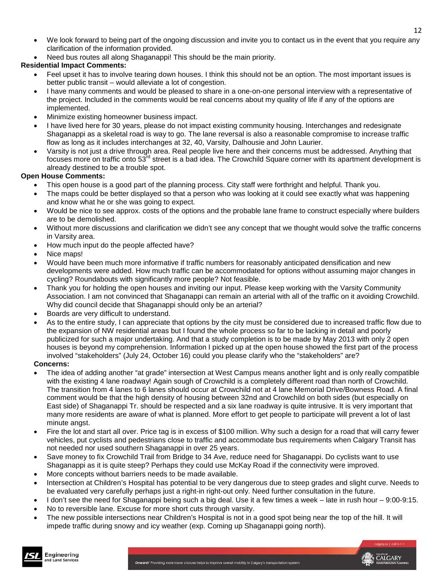- We look forward to being part of the ongoing discussion and invite you to contact us in the event that you require any clarification of the information provided.
- Need bus routes all along Shaganappi! This should be the main priority.

### **Residential Impact Comments:**

- Feel upset it has to involve tearing down houses. I think this should not be an option. The most important issues is better public transit – would alleviate a lot of congestion.
- I have many comments and would be pleased to share in a one-on-one personal interview with a representative of the project. Included in the comments would be real concerns about my quality of life if any of the options are implemented.
- Minimize existing homeowner business impact.
- I have lived here for 30 years, please do not impact existing community housing. Interchanges and redesignate Shaganappi as a skeletal road is way to go. The lane reversal is also a reasonable compromise to increase traffic flow as long as it includes interchanges at 32, 40, Varsity, Dalhousie and John Laurier.
- Varsity is not just a drive through area. Real people live here and their concerns must be addressed. Anything that focuses more on traffic onto 53<sup>rd</sup> street is a bad idea. The Crowchild Square corner with its apartment development is already destined to be a trouble spot.

### **Open House Comments:**

- This open house is a good part of the planning process. City staff were forthright and helpful. Thank you.
- The maps could be better displayed so that a person who was looking at it could see exactly what was happening and know what he or she was going to expect.
- Would be nice to see approx. costs of the options and the probable lane frame to construct especially where builders are to be demolished.
- Without more discussions and clarification we didn't see any concept that we thought would solve the traffic concerns in Varsity area.
- How much input do the people affected have?
- Nice maps!
- Would have been much more informative if traffic numbers for reasonably anticipated densification and new developments were added. How much traffic can be accommodated for options without assuming major changes in cycling? Roundabouts with significantly more people? Not feasible.
- Thank you for holding the open houses and inviting our input. Please keep working with the Varsity Community Association. I am not convinced that Shaganappi can remain an arterial with all of the traffic on it avoiding Crowchild. Why did council decide that Shaganappi should only be an arterial?
- Boards are very difficult to understand.
- As to the entire study, I can appreciate that options by the city must be considered due to increased traffic flow due to the expansion of NW residential areas but I found the whole process so far to be lacking in detail and poorly publicized for such a major undertaking. And that a study completion is to be made by May 2013 with only 2 open houses is beyond my comprehension. Information I picked up at the open house showed the first part of the process involved "stakeholders" (July 24, October 16) could you please clarify who the "stakeholders" are?

### **Concerns:**

Engineering

Ind Land Services

- The idea of adding another "at grade" intersection at West Campus means another light and is only really compatible with the existing 4 lane roadway! Again sough of Crowchild is a completely different road than north of Crowchild. The transition from 4 lanes to 6 lanes should occur at Crowchild not at 4 lane Memorial Drive/Bowness Road. A final comment would be that the high density of housing between 32nd and Crowchild on both sides (but especially on East side) of Shaganappi Tr. should be respected and a six lane roadway is quite intrusive. It is very important that many more residents are aware of what is planned. More effort to get people to participate will prevent a lot of last minute angst.
- Fire the lot and start all over. Price tag is in excess of \$100 million. Why such a design for a road that will carry fewer vehicles, put cyclists and pedestrians close to traffic and accommodate bus requirements when Calgary Transit has not needed nor used southern Shaganappi in over 25 years.
- Save money to fix Crowchild Trail from Bridge to 34 Ave, reduce need for Shaganappi. Do cyclists want to use Shaganappi as it is quite steep? Perhaps they could use McKay Road if the connectivity were improved.
- More concepts without barriers needs to be made available.
- Intersection at Children's Hospital has potential to be very dangerous due to steep grades and slight curve. Needs to be evaluated very carefully perhaps just a right-in right-out only. Need further consultation in the future.
- I don't see the need for Shaganappi being such a big deal. Use it a few times a week late in rush hour 9:00-9:15.
- No to reversible lane. Excuse for more short cuts through varsity.
- The new possible intersections near Children's Hospital is not in a good spot being near the top of the hill. It will impede traffic during snowy and icy weather (exp. Coming up Shaganappi going north).

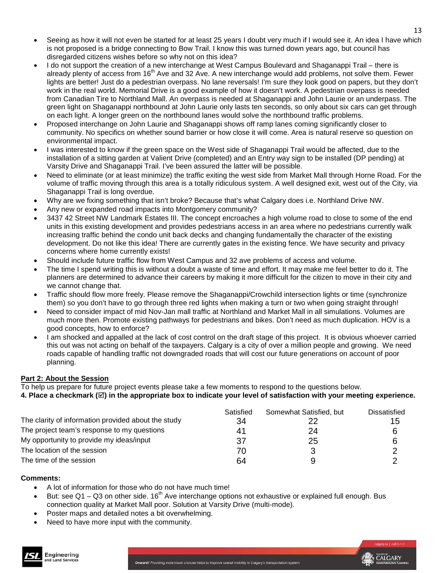- Seeing as how it will not even be started for at least 25 years I doubt very much if I would see it. An idea I have which is not proposed is a bridge connecting to Bow Trail. I know this was turned down years ago, but council has disregarded citizens wishes before so why not on this idea?
- I do not support the creation of a new interchange at West Campus Boulevard and Shaganappi Trail there is already plenty of access from 16<sup>th</sup> Ave and 32 Ave. A new interchange would add problems, not solve them. Fewer lights are better! Just do a pedestrian overpass. No lane reversals! I'm sure they look good on papers, but they don't work in the real world. Memorial Drive is a good example of how it doesn't work. A pedestrian overpass is needed from Canadian Tire to Northland Mall. An overpass is needed at Shaganappi and John Laurie or an underpass. The green light on Shaganappi northbound at John Laurie only lasts ten seconds, so only about six cars can get through on each light. A longer green on the northbound lanes would solve the northbound traffic problems.
- Proposed interchange on John Laurie and Shaganappi shows off ramp lanes coming significantly closer to community. No specifics on whether sound barrier or how close it will come. Area is natural reserve so question on environmental impact.
- I was interested to know if the green space on the West side of Shaganappi Trail would be affected, due to the installation of a sitting garden at Valient Drive (completed) and an Entry way sign to be installed (DP pending) at Varsity Drive and Shaganappi Trail. I've been assured the latter will be possible.
- Need to eliminate (or at least minimize) the traffic exiting the west side from Market Mall through Horne Road. For the volume of traffic moving through this area is a totally ridiculous system. A well designed exit, west out of the City, via Shaganappi Trail is long overdue.
- Why are we fixing something that isn't broke? Because that's what Calgary does i.e. Northland Drive NW.
- Any new or expanded road impacts into Montgomery community?
- 3437 42 Street NW Landmark Estates III. The concept encroaches a high volume road to close to some of the end units in this existing development and provides pedestrians access in an area where no pedestrians currently walk increasing traffic behind the condo unit back decks and changing fundamentally the character of the existing development. Do not like this idea! There are currently gates in the existing fence. We have security and privacy concerns where home currently exists!
- Should include future traffic flow from West Campus and 32 ave problems of access and volume.
- The time I spend writing this is without a doubt a waste of time and effort. It may make me feel better to do it. The planners are determined to advance their careers by making it more difficult for the citizen to move in their city and we cannot change that.
- Traffic should flow more freely. Please remove the Shaganappi/Crowchild intersection lights or time (synchronize them) so you don't have to go through three red lights when making a turn or two when going straight through!
- Need to consider impact of mid Nov-Jan mall traffic at Northland and Market Mall in all simulations. Volumes are much more then. Promote existing pathways for pedestrians and bikes. Don't need as much duplication. HOV is a good concepts, how to enforce?
- I am shocked and appalled at the lack of cost control on the draft stage of this project. It is obvious whoever carried this out was not acting on behalf of the taxpayers. Calgary is a city of over a million people and growing. We need roads capable of handling traffic not downgraded roads that will cost our future generations on account of poor planning.

### **Part 2: About the Session**

To help us prepare for future project events please take a few moments to respond to the questions below.

**4. Place a checkmark () in the appropriate box to indicate your level of satisfaction with your meeting experience.** 

| The clarity of information provided about the study<br>The project team's response to my questions | Satisfied<br>34<br>41 | Somewhat Satisfied, but<br>24 | Dissatisfied<br>15<br>6 |
|----------------------------------------------------------------------------------------------------|-----------------------|-------------------------------|-------------------------|
| My opportunity to provide my ideas/input                                                           | 37                    | 25                            | 6                       |
| The location of the session                                                                        | 70                    |                               |                         |
| The time of the session                                                                            | 64                    | 9                             |                         |

#### **Comments:**

Engineering

Ind Land Services

- A lot of information for those who do not have much time!
- But: see  $Q1 Q3$  on other side. 16<sup>th</sup> Ave interchange options not exhaustive or explained full enough. Bus connection quality at Market Mall poor. Solution at Varsity Drive (multi-mode).
- Poster maps and detailed notes a bit overwhelming.
- Need to have more input with the community.

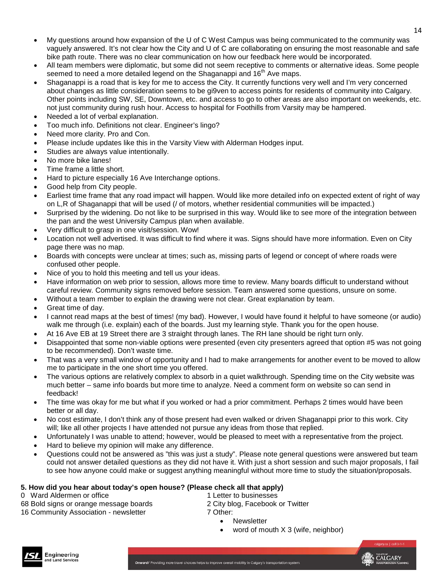- My questions around how expansion of the U of C West Campus was being communicated to the community was vaguely answered. It's not clear how the City and U of C are collaborating on ensuring the most reasonable and safe bike path route. There was no clear communication on how our feedback here would be incorporated.
- All team members were diplomatic, but some did not seem receptive to comments or alternative ideas. Some people seemed to need a more detailed legend on the Shaganappi and  $16<sup>th</sup>$  Ave maps.
- Shaganappi is a road that is key for me to access the City. It currently functions very well and I'm very concerned about changes as little consideration seems to be gi9ven to access points for residents of community into Calgary. Other points including SW, SE, Downtown, etc. and access to go to other areas are also important on weekends, etc. not just community during rush hour. Access to hospital for Foothills from Varsity may be hampered.
- Needed a lot of verbal explanation.
- Too much info. Definitions not clear. Engineer's lingo?
- Need more clarity. Pro and Con.
- Please include updates like this in the Varsity View with Alderman Hodges input.
- Studies are always value intentionally.
- No more bike lanes!
- Time frame a little short.
- Hard to picture especially 16 Ave Interchange options.
- Good help from City people.
- Earliest time frame that any road impact will happen. Would like more detailed info on expected extent of right of way on L,R of Shaganappi that will be used (/ of motors, whether residential communities will be impacted.)
- Surprised by the widening. Do not like to be surprised in this way. Would like to see more of the integration between the pan and the west University Campus plan when available.
- Very difficult to grasp in one visit/session. Wow!
- Location not well advertised. It was difficult to find where it was. Signs should have more information. Even on City page there was no map.
- Boards with concepts were unclear at times; such as, missing parts of legend or concept of where roads were confused other people.
- Nice of you to hold this meeting and tell us your ideas.
- Have information on web prior to session, allows more time to review. Many boards difficult to understand without careful review. Community signs removed before session. Team answered some questions, unsure on some.
- Without a team member to explain the drawing were not clear. Great explanation by team.
- Great time of day.
- I cannot read maps at the best of times! (my bad). However, I would have found it helpful to have someone (or audio) walk me through (i.e. explain) each of the boards. Just my learning style. Thank you for the open house.
- At 16 Ave EB at 19 Street there are 3 straight through lanes. The RH lane should be right turn only.
- Disappointed that some non-viable options were presented (even city presenters agreed that option #5 was not going to be recommended). Don't waste time.
- That was a very small window of opportunity and I had to make arrangements for another event to be moved to allow me to participate in the one short time you offered.
- The various options are relatively complex to absorb in a quiet walkthrough. Spending time on the City website was much better – same info boards but more time to analyze. Need a comment form on website so can send in feedback!
- The time was okay for me but what if you worked or had a prior commitment. Perhaps 2 times would have been better or all day.
- No cost estimate, I don't think any of those present had even walked or driven Shaganappi prior to this work. City will; like all other projects I have attended not pursue any ideas from those that replied.
- Unfortunately I was unable to attend; however, would be pleased to meet with a representative from the project.
- Hard to believe my opinion will make any difference.
- Questions could not be answered as "this was just a study". Please note general questions were answered but team could not answer detailed questions as they did not have it. With just a short session and such major proposals, I fail to see how anyone could make or suggest anything meaningful without more time to study the situation/proposals.

### **5. How did you hear about today's open house? (Please check all that apply)**

0 Ward Aldermen or office

Engineering

Ind Land Services

68 Bold signs or orange message boards 16 Community Association - newsletter

1 Letter to businesses 2 City blog, Facebook or Twitter 7 Other:

- Newsletter
- word of mouth  $X_3$  (wife, neighbor)